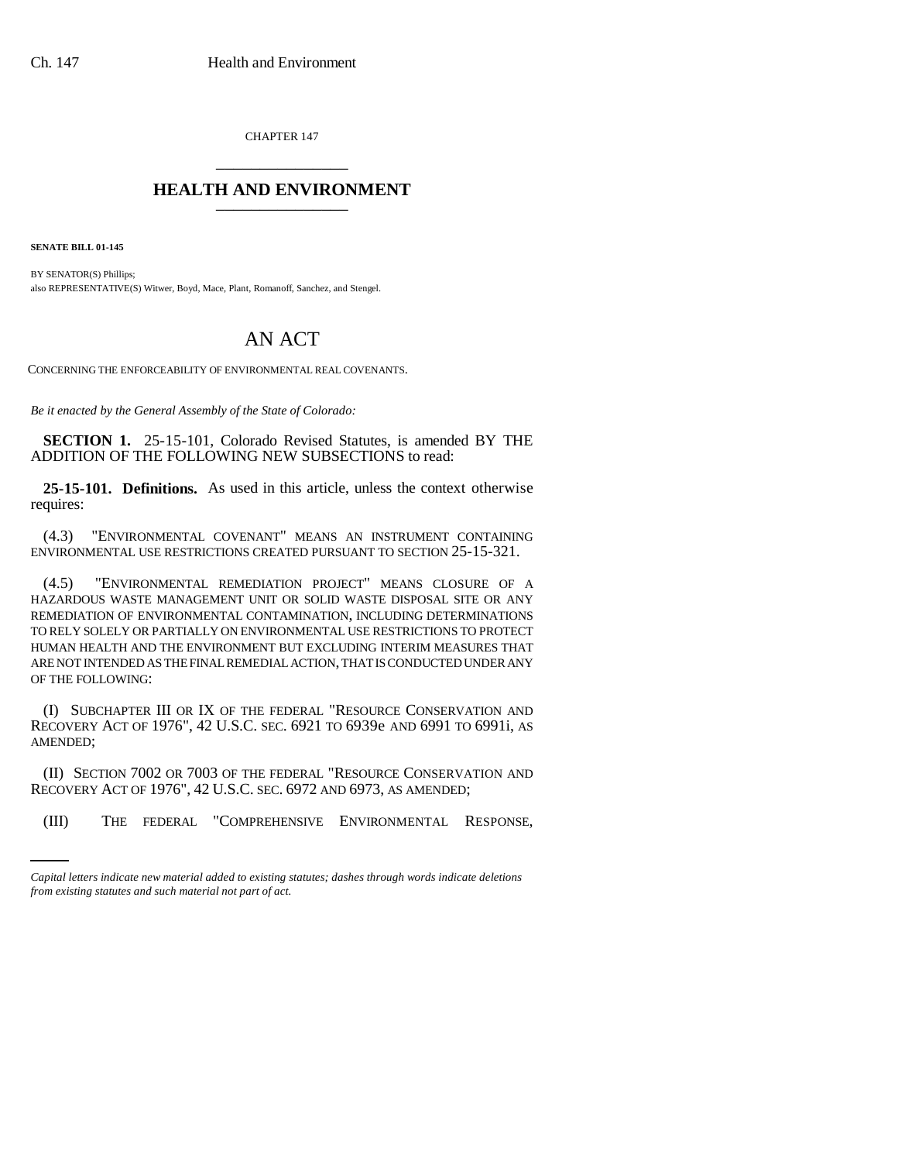CHAPTER 147 \_\_\_\_\_\_\_\_\_\_\_\_\_\_\_

## **HEALTH AND ENVIRONMENT** \_\_\_\_\_\_\_\_\_\_\_\_\_\_\_

**SENATE BILL 01-145**

BY SENATOR(S) Phillips; also REPRESENTATIVE(S) Witwer, Boyd, Mace, Plant, Romanoff, Sanchez, and Stengel.

## AN ACT

CONCERNING THE ENFORCEABILITY OF ENVIRONMENTAL REAL COVENANTS.

*Be it enacted by the General Assembly of the State of Colorado:*

**SECTION 1.** 25-15-101, Colorado Revised Statutes, is amended BY THE ADDITION OF THE FOLLOWING NEW SUBSECTIONS to read:

**25-15-101. Definitions.** As used in this article, unless the context otherwise requires:

(4.3) "ENVIRONMENTAL COVENANT" MEANS AN INSTRUMENT CONTAINING ENVIRONMENTAL USE RESTRICTIONS CREATED PURSUANT TO SECTION 25-15-321.

(4.5) "ENVIRONMENTAL REMEDIATION PROJECT" MEANS CLOSURE OF A HAZARDOUS WASTE MANAGEMENT UNIT OR SOLID WASTE DISPOSAL SITE OR ANY REMEDIATION OF ENVIRONMENTAL CONTAMINATION, INCLUDING DETERMINATIONS TO RELY SOLELY OR PARTIALLY ON ENVIRONMENTAL USE RESTRICTIONS TO PROTECT HUMAN HEALTH AND THE ENVIRONMENT BUT EXCLUDING INTERIM MEASURES THAT ARE NOT INTENDED AS THE FINAL REMEDIAL ACTION, THAT IS CONDUCTED UNDER ANY OF THE FOLLOWING:

(I) SUBCHAPTER III OR IX OF THE FEDERAL "RESOURCE CONSERVATION AND RECOVERY ACT OF 1976", 42 U.S.C. SEC. 6921 TO 6939e AND 6991 TO 6991i, AS AMENDED;

RECOVERY ACT OF 1976", 42 U.S.C. SEC. 6972 AND 6973, AS AMENDED; (II) SECTION 7002 OR 7003 OF THE FEDERAL "RESOURCE CONSERVATION AND

(III) THE FEDERAL "COMPREHENSIVE ENVIRONMENTAL RESPONSE,

*Capital letters indicate new material added to existing statutes; dashes through words indicate deletions from existing statutes and such material not part of act.*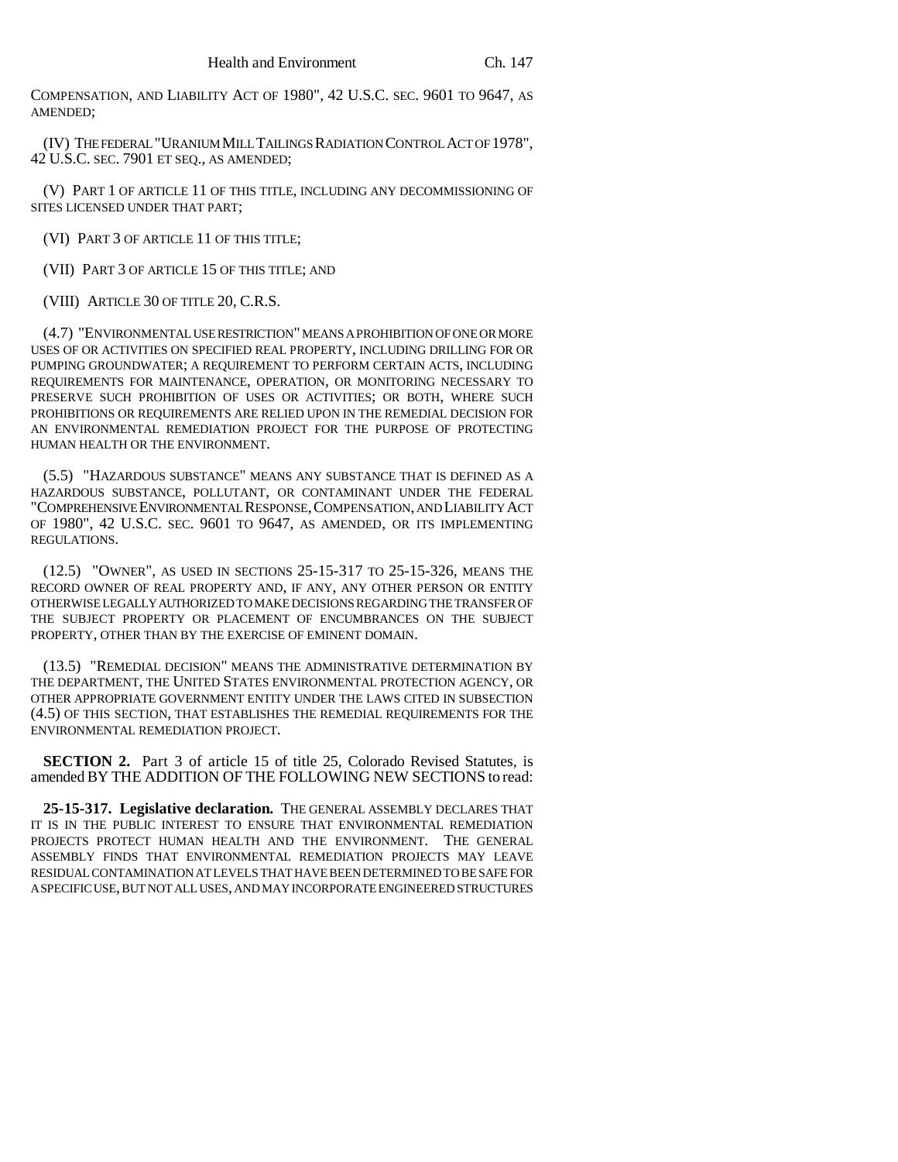COMPENSATION, AND LIABILITY ACT OF 1980", 42 U.S.C. SEC. 9601 TO 9647, AS AMENDED;

(IV) THE FEDERAL "URANIUM MILL TAILINGS RADIATION CONTROL ACT OF 1978", 42 U.S.C. SEC. 7901 ET SEQ., AS AMENDED;

(V) PART 1 OF ARTICLE 11 OF THIS TITLE, INCLUDING ANY DECOMMISSIONING OF SITES LICENSED UNDER THAT PART;

(VI) PART 3 OF ARTICLE 11 OF THIS TITLE;

(VII) PART 3 OF ARTICLE 15 OF THIS TITLE; AND

(VIII) ARTICLE 30 OF TITLE 20, C.R.S.

(4.7) "ENVIRONMENTAL USE RESTRICTION" MEANS A PROHIBITION OF ONE OR MORE USES OF OR ACTIVITIES ON SPECIFIED REAL PROPERTY, INCLUDING DRILLING FOR OR PUMPING GROUNDWATER; A REQUIREMENT TO PERFORM CERTAIN ACTS, INCLUDING REQUIREMENTS FOR MAINTENANCE, OPERATION, OR MONITORING NECESSARY TO PRESERVE SUCH PROHIBITION OF USES OR ACTIVITIES; OR BOTH, WHERE SUCH PROHIBITIONS OR REQUIREMENTS ARE RELIED UPON IN THE REMEDIAL DECISION FOR AN ENVIRONMENTAL REMEDIATION PROJECT FOR THE PURPOSE OF PROTECTING HUMAN HEALTH OR THE ENVIRONMENT.

(5.5) "HAZARDOUS SUBSTANCE" MEANS ANY SUBSTANCE THAT IS DEFINED AS A HAZARDOUS SUBSTANCE, POLLUTANT, OR CONTAMINANT UNDER THE FEDERAL "COMPREHENSIVE ENVIRONMENTAL RESPONSE,COMPENSATION, AND LIABILITY ACT OF 1980", 42 U.S.C. SEC. 9601 TO 9647, AS AMENDED, OR ITS IMPLEMENTING REGULATIONS.

(12.5) "OWNER", AS USED IN SECTIONS 25-15-317 TO 25-15-326, MEANS THE RECORD OWNER OF REAL PROPERTY AND, IF ANY, ANY OTHER PERSON OR ENTITY OTHERWISE LEGALLY AUTHORIZED TO MAKE DECISIONS REGARDING THE TRANSFER OF THE SUBJECT PROPERTY OR PLACEMENT OF ENCUMBRANCES ON THE SUBJECT PROPERTY, OTHER THAN BY THE EXERCISE OF EMINENT DOMAIN.

(13.5) "REMEDIAL DECISION" MEANS THE ADMINISTRATIVE DETERMINATION BY THE DEPARTMENT, THE UNITED STATES ENVIRONMENTAL PROTECTION AGENCY, OR OTHER APPROPRIATE GOVERNMENT ENTITY UNDER THE LAWS CITED IN SUBSECTION (4.5) OF THIS SECTION, THAT ESTABLISHES THE REMEDIAL REQUIREMENTS FOR THE ENVIRONMENTAL REMEDIATION PROJECT.

**SECTION 2.** Part 3 of article 15 of title 25, Colorado Revised Statutes, is amended BY THE ADDITION OF THE FOLLOWING NEW SECTIONS to read:

**25-15-317. Legislative declaration.** THE GENERAL ASSEMBLY DECLARES THAT IT IS IN THE PUBLIC INTEREST TO ENSURE THAT ENVIRONMENTAL REMEDIATION PROJECTS PROTECT HUMAN HEALTH AND THE ENVIRONMENT. THE GENERAL ASSEMBLY FINDS THAT ENVIRONMENTAL REMEDIATION PROJECTS MAY LEAVE RESIDUAL CONTAMINATION AT LEVELS THAT HAVE BEEN DETERMINED TO BE SAFE FOR A SPECIFIC USE, BUT NOT ALL USES, AND MAY INCORPORATE ENGINEERED STRUCTURES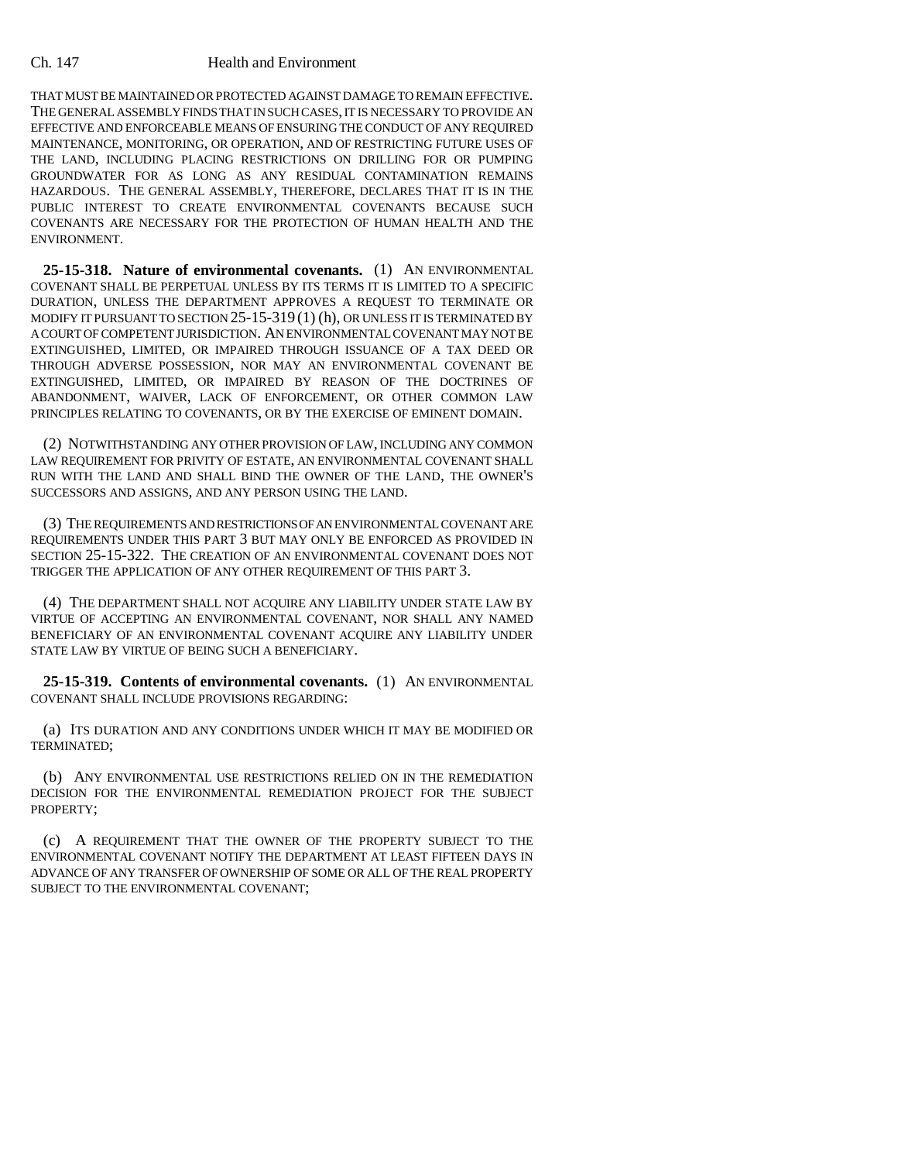## Ch. 147 Health and Environment

THAT MUST BE MAINTAINED OR PROTECTED AGAINST DAMAGE TO REMAIN EFFECTIVE. THE GENERAL ASSEMBLY FINDS THAT IN SUCH CASES, IT IS NECESSARY TO PROVIDE AN EFFECTIVE AND ENFORCEABLE MEANS OF ENSURING THE CONDUCT OF ANY REQUIRED MAINTENANCE, MONITORING, OR OPERATION, AND OF RESTRICTING FUTURE USES OF THE LAND, INCLUDING PLACING RESTRICTIONS ON DRILLING FOR OR PUMPING GROUNDWATER FOR AS LONG AS ANY RESIDUAL CONTAMINATION REMAINS HAZARDOUS. THE GENERAL ASSEMBLY, THEREFORE, DECLARES THAT IT IS IN THE PUBLIC INTEREST TO CREATE ENVIRONMENTAL COVENANTS BECAUSE SUCH COVENANTS ARE NECESSARY FOR THE PROTECTION OF HUMAN HEALTH AND THE ENVIRONMENT.

**25-15-318. Nature of environmental covenants.** (1) AN ENVIRONMENTAL COVENANT SHALL BE PERPETUAL UNLESS BY ITS TERMS IT IS LIMITED TO A SPECIFIC DURATION, UNLESS THE DEPARTMENT APPROVES A REQUEST TO TERMINATE OR MODIFY IT PURSUANT TO SECTION 25-15-319 (1) (h), OR UNLESS IT IS TERMINATED BY A COURT OF COMPETENT JURISDICTION. AN ENVIRONMENTAL COVENANT MAY NOT BE EXTINGUISHED, LIMITED, OR IMPAIRED THROUGH ISSUANCE OF A TAX DEED OR THROUGH ADVERSE POSSESSION, NOR MAY AN ENVIRONMENTAL COVENANT BE EXTINGUISHED, LIMITED, OR IMPAIRED BY REASON OF THE DOCTRINES OF ABANDONMENT, WAIVER, LACK OF ENFORCEMENT, OR OTHER COMMON LAW PRINCIPLES RELATING TO COVENANTS, OR BY THE EXERCISE OF EMINENT DOMAIN.

(2) NOTWITHSTANDING ANY OTHER PROVISION OF LAW, INCLUDING ANY COMMON LAW REQUIREMENT FOR PRIVITY OF ESTATE, AN ENVIRONMENTAL COVENANT SHALL RUN WITH THE LAND AND SHALL BIND THE OWNER OF THE LAND, THE OWNER'S SUCCESSORS AND ASSIGNS, AND ANY PERSON USING THE LAND.

(3) THE REQUIREMENTS AND RESTRICTIONS OF AN ENVIRONMENTAL COVENANT ARE REQUIREMENTS UNDER THIS PART 3 BUT MAY ONLY BE ENFORCED AS PROVIDED IN SECTION 25-15-322. THE CREATION OF AN ENVIRONMENTAL COVENANT DOES NOT TRIGGER THE APPLICATION OF ANY OTHER REQUIREMENT OF THIS PART 3.

(4) THE DEPARTMENT SHALL NOT ACQUIRE ANY LIABILITY UNDER STATE LAW BY VIRTUE OF ACCEPTING AN ENVIRONMENTAL COVENANT, NOR SHALL ANY NAMED BENEFICIARY OF AN ENVIRONMENTAL COVENANT ACQUIRE ANY LIABILITY UNDER STATE LAW BY VIRTUE OF BEING SUCH A BENEFICIARY.

**25-15-319. Contents of environmental covenants.** (1) AN ENVIRONMENTAL COVENANT SHALL INCLUDE PROVISIONS REGARDING:

(a) ITS DURATION AND ANY CONDITIONS UNDER WHICH IT MAY BE MODIFIED OR TERMINATED;

(b) ANY ENVIRONMENTAL USE RESTRICTIONS RELIED ON IN THE REMEDIATION DECISION FOR THE ENVIRONMENTAL REMEDIATION PROJECT FOR THE SUBJECT PROPERTY;

(c) A REQUIREMENT THAT THE OWNER OF THE PROPERTY SUBJECT TO THE ENVIRONMENTAL COVENANT NOTIFY THE DEPARTMENT AT LEAST FIFTEEN DAYS IN ADVANCE OF ANY TRANSFER OF OWNERSHIP OF SOME OR ALL OF THE REAL PROPERTY SUBJECT TO THE ENVIRONMENTAL COVENANT;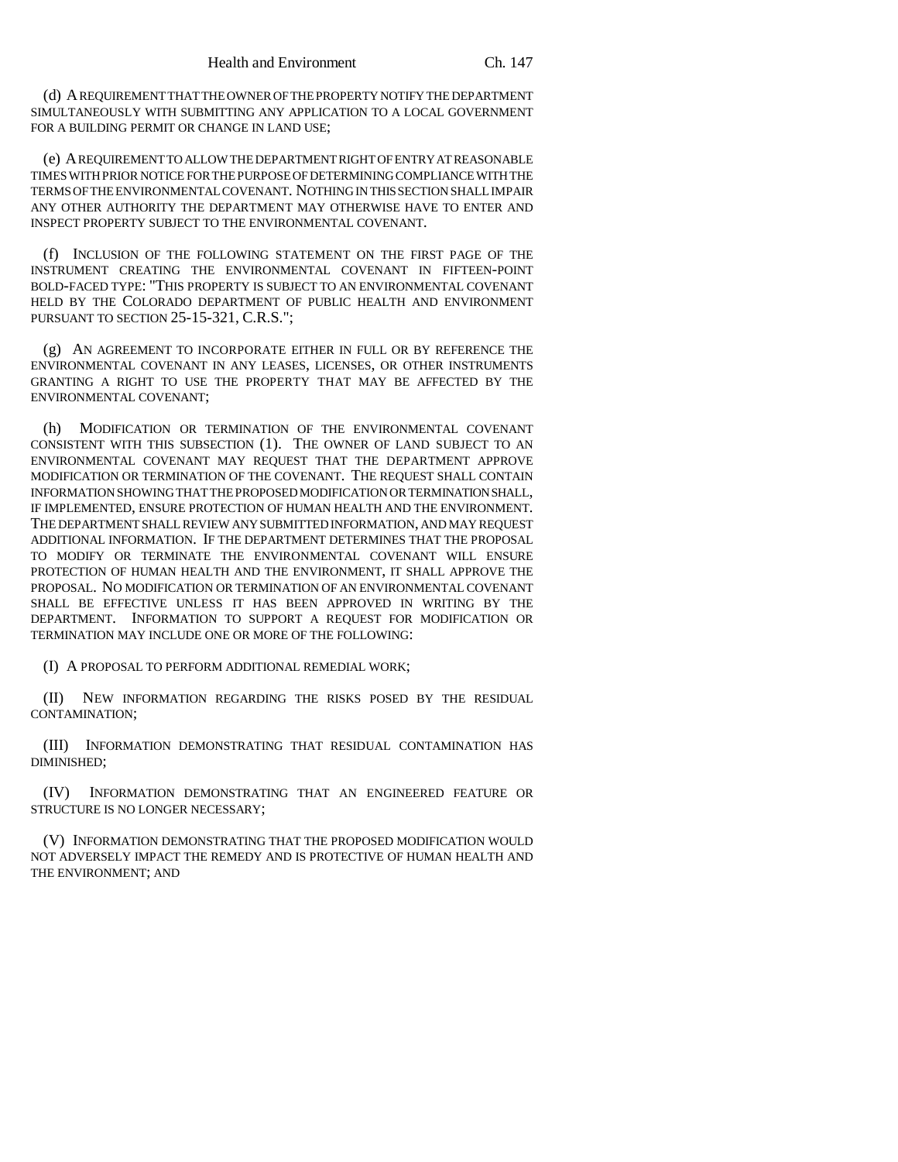(d) A REQUIREMENT THAT THE OWNER OF THE PROPERTY NOTIFY THE DEPARTMENT SIMULTANEOUSLY WITH SUBMITTING ANY APPLICATION TO A LOCAL GOVERNMENT FOR A BUILDING PERMIT OR CHANGE IN LAND USE;

(e) A REQUIREMENT TO ALLOW THE DEPARTMENT RIGHT OF ENTRY AT REASONABLE TIMES WITH PRIOR NOTICE FOR THE PURPOSE OF DETERMINING COMPLIANCE WITH THE TERMS OF THE ENVIRONMENTAL COVENANT. NOTHING IN THIS SECTION SHALL IMPAIR ANY OTHER AUTHORITY THE DEPARTMENT MAY OTHERWISE HAVE TO ENTER AND INSPECT PROPERTY SUBJECT TO THE ENVIRONMENTAL COVENANT.

(f) INCLUSION OF THE FOLLOWING STATEMENT ON THE FIRST PAGE OF THE INSTRUMENT CREATING THE ENVIRONMENTAL COVENANT IN FIFTEEN-POINT BOLD-FACED TYPE: "THIS PROPERTY IS SUBJECT TO AN ENVIRONMENTAL COVENANT HELD BY THE COLORADO DEPARTMENT OF PUBLIC HEALTH AND ENVIRONMENT PURSUANT TO SECTION 25-15-321, C.R.S.";

(g) AN AGREEMENT TO INCORPORATE EITHER IN FULL OR BY REFERENCE THE ENVIRONMENTAL COVENANT IN ANY LEASES, LICENSES, OR OTHER INSTRUMENTS GRANTING A RIGHT TO USE THE PROPERTY THAT MAY BE AFFECTED BY THE ENVIRONMENTAL COVENANT;

(h) MODIFICATION OR TERMINATION OF THE ENVIRONMENTAL COVENANT CONSISTENT WITH THIS SUBSECTION (1). THE OWNER OF LAND SUBJECT TO AN ENVIRONMENTAL COVENANT MAY REQUEST THAT THE DEPARTMENT APPROVE MODIFICATION OR TERMINATION OF THE COVENANT. THE REQUEST SHALL CONTAIN INFORMATION SHOWING THAT THE PROPOSED MODIFICATION OR TERMINATION SHALL, IF IMPLEMENTED, ENSURE PROTECTION OF HUMAN HEALTH AND THE ENVIRONMENT. THE DEPARTMENT SHALL REVIEW ANY SUBMITTED INFORMATION, AND MAY REQUEST ADDITIONAL INFORMATION. IF THE DEPARTMENT DETERMINES THAT THE PROPOSAL TO MODIFY OR TERMINATE THE ENVIRONMENTAL COVENANT WILL ENSURE PROTECTION OF HUMAN HEALTH AND THE ENVIRONMENT, IT SHALL APPROVE THE PROPOSAL. NO MODIFICATION OR TERMINATION OF AN ENVIRONMENTAL COVENANT SHALL BE EFFECTIVE UNLESS IT HAS BEEN APPROVED IN WRITING BY THE DEPARTMENT. INFORMATION TO SUPPORT A REQUEST FOR MODIFICATION OR TERMINATION MAY INCLUDE ONE OR MORE OF THE FOLLOWING:

(I) A PROPOSAL TO PERFORM ADDITIONAL REMEDIAL WORK;

(II) NEW INFORMATION REGARDING THE RISKS POSED BY THE RESIDUAL CONTAMINATION;

(III) INFORMATION DEMONSTRATING THAT RESIDUAL CONTAMINATION HAS DIMINISHED;

(IV) INFORMATION DEMONSTRATING THAT AN ENGINEERED FEATURE OR STRUCTURE IS NO LONGER NECESSARY;

(V) INFORMATION DEMONSTRATING THAT THE PROPOSED MODIFICATION WOULD NOT ADVERSELY IMPACT THE REMEDY AND IS PROTECTIVE OF HUMAN HEALTH AND THE ENVIRONMENT; AND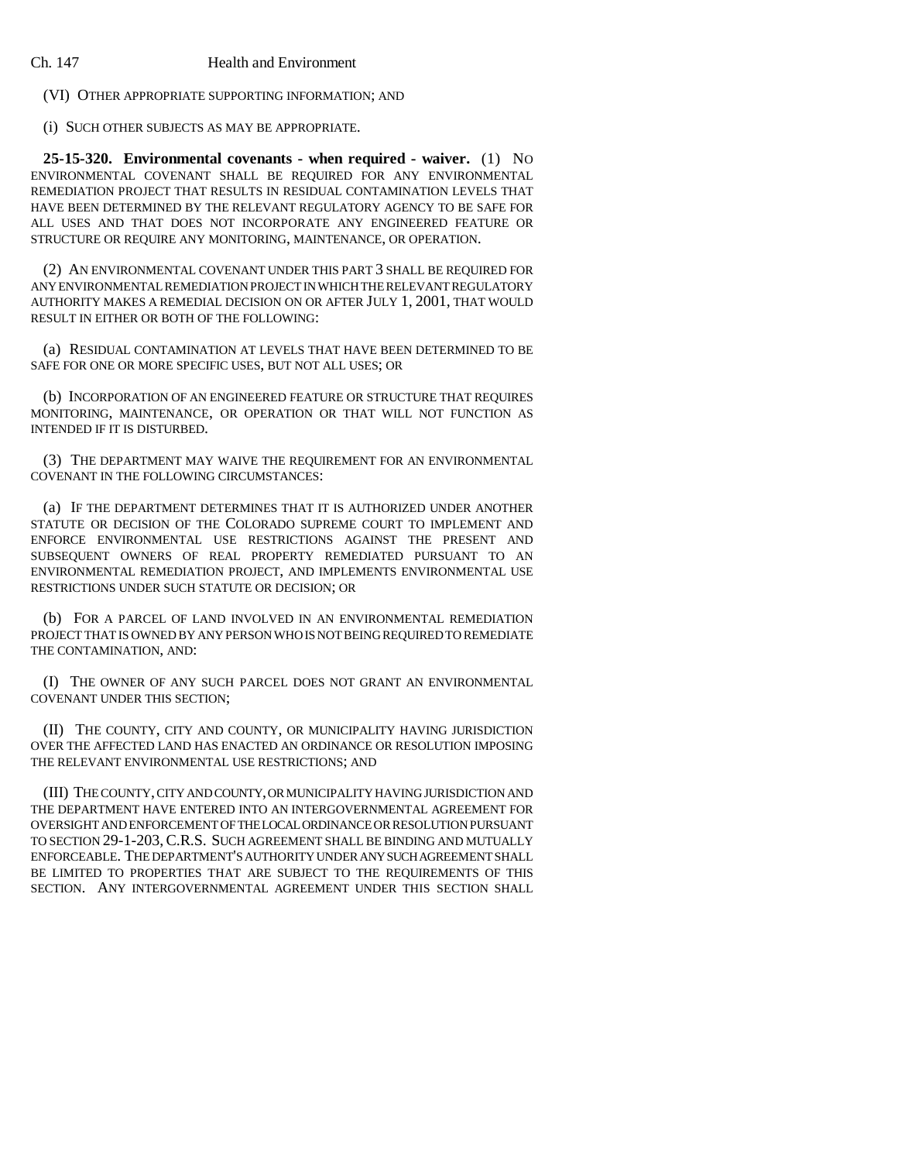(VI) OTHER APPROPRIATE SUPPORTING INFORMATION; AND

(i) SUCH OTHER SUBJECTS AS MAY BE APPROPRIATE.

**25-15-320. Environmental covenants - when required - waiver.** (1) NO ENVIRONMENTAL COVENANT SHALL BE REQUIRED FOR ANY ENVIRONMENTAL REMEDIATION PROJECT THAT RESULTS IN RESIDUAL CONTAMINATION LEVELS THAT HAVE BEEN DETERMINED BY THE RELEVANT REGULATORY AGENCY TO BE SAFE FOR ALL USES AND THAT DOES NOT INCORPORATE ANY ENGINEERED FEATURE OR STRUCTURE OR REQUIRE ANY MONITORING, MAINTENANCE, OR OPERATION.

(2) AN ENVIRONMENTAL COVENANT UNDER THIS PART 3 SHALL BE REQUIRED FOR ANY ENVIRONMENTAL REMEDIATION PROJECT IN WHICH THE RELEVANT REGULATORY AUTHORITY MAKES A REMEDIAL DECISION ON OR AFTER JULY 1, 2001, THAT WOULD RESULT IN EITHER OR BOTH OF THE FOLLOWING:

(a) RESIDUAL CONTAMINATION AT LEVELS THAT HAVE BEEN DETERMINED TO BE SAFE FOR ONE OR MORE SPECIFIC USES, BUT NOT ALL USES; OR

(b) INCORPORATION OF AN ENGINEERED FEATURE OR STRUCTURE THAT REQUIRES MONITORING, MAINTENANCE, OR OPERATION OR THAT WILL NOT FUNCTION AS INTENDED IF IT IS DISTURBED.

(3) THE DEPARTMENT MAY WAIVE THE REQUIREMENT FOR AN ENVIRONMENTAL COVENANT IN THE FOLLOWING CIRCUMSTANCES:

(a) IF THE DEPARTMENT DETERMINES THAT IT IS AUTHORIZED UNDER ANOTHER STATUTE OR DECISION OF THE COLORADO SUPREME COURT TO IMPLEMENT AND ENFORCE ENVIRONMENTAL USE RESTRICTIONS AGAINST THE PRESENT AND SUBSEQUENT OWNERS OF REAL PROPERTY REMEDIATED PURSUANT TO AN ENVIRONMENTAL REMEDIATION PROJECT, AND IMPLEMENTS ENVIRONMENTAL USE RESTRICTIONS UNDER SUCH STATUTE OR DECISION; OR

(b) FOR A PARCEL OF LAND INVOLVED IN AN ENVIRONMENTAL REMEDIATION PROJECT THAT IS OWNED BY ANY PERSON WHO IS NOT BEING REQUIRED TO REMEDIATE THE CONTAMINATION, AND:

(I) THE OWNER OF ANY SUCH PARCEL DOES NOT GRANT AN ENVIRONMENTAL COVENANT UNDER THIS SECTION;

(II) THE COUNTY, CITY AND COUNTY, OR MUNICIPALITY HAVING JURISDICTION OVER THE AFFECTED LAND HAS ENACTED AN ORDINANCE OR RESOLUTION IMPOSING THE RELEVANT ENVIRONMENTAL USE RESTRICTIONS; AND

(III) THE COUNTY, CITY AND COUNTY, OR MUNICIPALITY HAVING JURISDICTION AND THE DEPARTMENT HAVE ENTERED INTO AN INTERGOVERNMENTAL AGREEMENT FOR OVERSIGHT AND ENFORCEMENT OF THE LOCAL ORDINANCE OR RESOLUTION PURSUANT TO SECTION 29-1-203,C.R.S. SUCH AGREEMENT SHALL BE BINDING AND MUTUALLY ENFORCEABLE. THE DEPARTMENT'S AUTHORITY UNDER ANY SUCH AGREEMENT SHALL BE LIMITED TO PROPERTIES THAT ARE SUBJECT TO THE REQUIREMENTS OF THIS SECTION. ANY INTERGOVERNMENTAL AGREEMENT UNDER THIS SECTION SHALL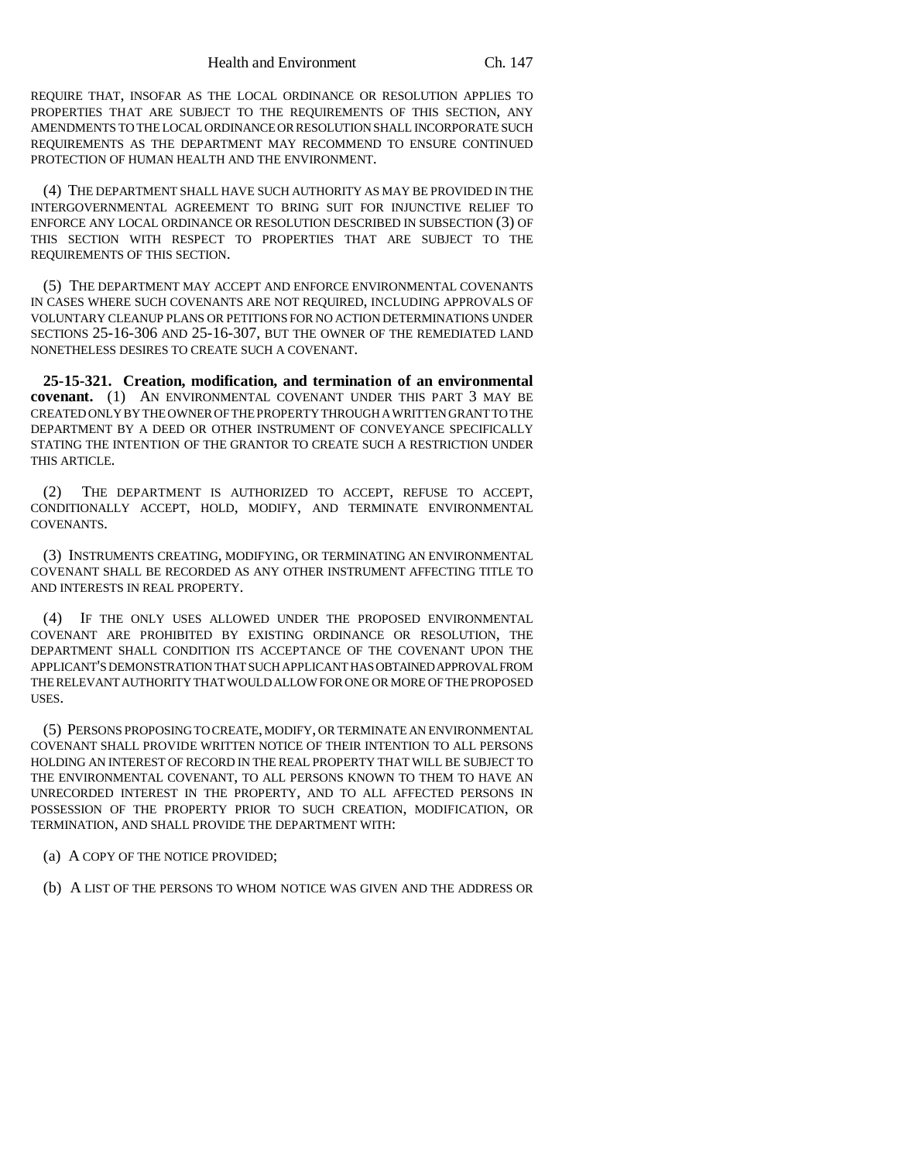REQUIRE THAT, INSOFAR AS THE LOCAL ORDINANCE OR RESOLUTION APPLIES TO PROPERTIES THAT ARE SUBJECT TO THE REQUIREMENTS OF THIS SECTION, ANY AMENDMENTS TO THE LOCAL ORDINANCE OR RESOLUTION SHALL INCORPORATE SUCH REQUIREMENTS AS THE DEPARTMENT MAY RECOMMEND TO ENSURE CONTINUED PROTECTION OF HUMAN HEALTH AND THE ENVIRONMENT.

(4) THE DEPARTMENT SHALL HAVE SUCH AUTHORITY AS MAY BE PROVIDED IN THE INTERGOVERNMENTAL AGREEMENT TO BRING SUIT FOR INJUNCTIVE RELIEF TO ENFORCE ANY LOCAL ORDINANCE OR RESOLUTION DESCRIBED IN SUBSECTION (3) OF THIS SECTION WITH RESPECT TO PROPERTIES THAT ARE SUBJECT TO THE REQUIREMENTS OF THIS SECTION.

(5) THE DEPARTMENT MAY ACCEPT AND ENFORCE ENVIRONMENTAL COVENANTS IN CASES WHERE SUCH COVENANTS ARE NOT REQUIRED, INCLUDING APPROVALS OF VOLUNTARY CLEANUP PLANS OR PETITIONS FOR NO ACTION DETERMINATIONS UNDER SECTIONS 25-16-306 AND 25-16-307, BUT THE OWNER OF THE REMEDIATED LAND NONETHELESS DESIRES TO CREATE SUCH A COVENANT.

**25-15-321. Creation, modification, and termination of an environmental covenant.** (1) AN ENVIRONMENTAL COVENANT UNDER THIS PART 3 MAY BE CREATED ONLY BY THE OWNER OF THE PROPERTY THROUGH A WRITTEN GRANT TO THE DEPARTMENT BY A DEED OR OTHER INSTRUMENT OF CONVEYANCE SPECIFICALLY STATING THE INTENTION OF THE GRANTOR TO CREATE SUCH A RESTRICTION UNDER THIS ARTICLE.

(2) THE DEPARTMENT IS AUTHORIZED TO ACCEPT, REFUSE TO ACCEPT, CONDITIONALLY ACCEPT, HOLD, MODIFY, AND TERMINATE ENVIRONMENTAL COVENANTS.

(3) INSTRUMENTS CREATING, MODIFYING, OR TERMINATING AN ENVIRONMENTAL COVENANT SHALL BE RECORDED AS ANY OTHER INSTRUMENT AFFECTING TITLE TO AND INTERESTS IN REAL PROPERTY.

(4) IF THE ONLY USES ALLOWED UNDER THE PROPOSED ENVIRONMENTAL COVENANT ARE PROHIBITED BY EXISTING ORDINANCE OR RESOLUTION, THE DEPARTMENT SHALL CONDITION ITS ACCEPTANCE OF THE COVENANT UPON THE APPLICANT'S DEMONSTRATION THAT SUCH APPLICANT HAS OBTAINED APPROVAL FROM THE RELEVANT AUTHORITY THAT WOULD ALLOW FOR ONE OR MORE OF THE PROPOSED USES.

(5) PERSONS PROPOSING TO CREATE, MODIFY, OR TERMINATE AN ENVIRONMENTAL COVENANT SHALL PROVIDE WRITTEN NOTICE OF THEIR INTENTION TO ALL PERSONS HOLDING AN INTEREST OF RECORD IN THE REAL PROPERTY THAT WILL BE SUBJECT TO THE ENVIRONMENTAL COVENANT, TO ALL PERSONS KNOWN TO THEM TO HAVE AN UNRECORDED INTEREST IN THE PROPERTY, AND TO ALL AFFECTED PERSONS IN POSSESSION OF THE PROPERTY PRIOR TO SUCH CREATION, MODIFICATION, OR TERMINATION, AND SHALL PROVIDE THE DEPARTMENT WITH:

(a) A COPY OF THE NOTICE PROVIDED;

(b) A LIST OF THE PERSONS TO WHOM NOTICE WAS GIVEN AND THE ADDRESS OR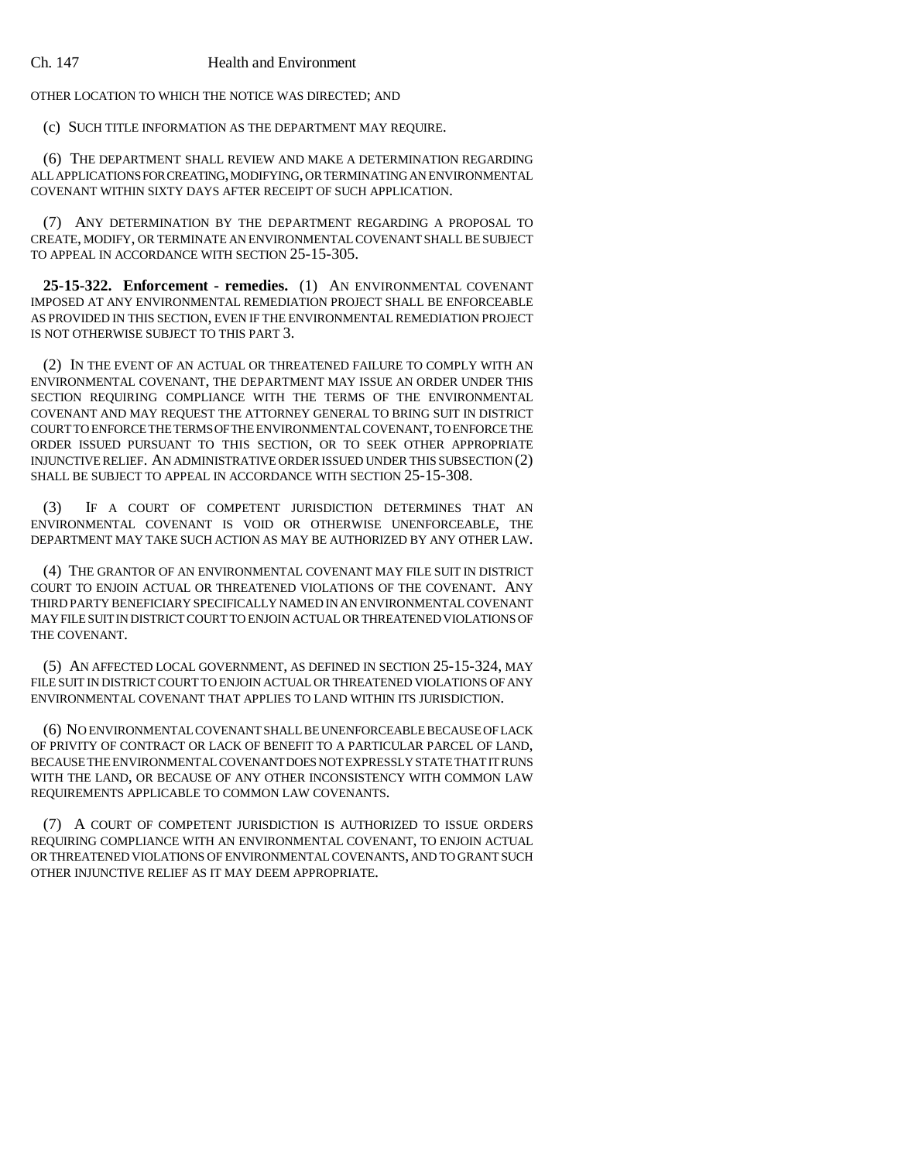OTHER LOCATION TO WHICH THE NOTICE WAS DIRECTED; AND

(c) SUCH TITLE INFORMATION AS THE DEPARTMENT MAY REQUIRE.

(6) THE DEPARTMENT SHALL REVIEW AND MAKE A DETERMINATION REGARDING ALL APPLICATIONS FOR CREATING, MODIFYING, OR TERMINATING AN ENVIRONMENTAL COVENANT WITHIN SIXTY DAYS AFTER RECEIPT OF SUCH APPLICATION.

(7) ANY DETERMINATION BY THE DEPARTMENT REGARDING A PROPOSAL TO CREATE, MODIFY, OR TERMINATE AN ENVIRONMENTAL COVENANT SHALL BE SUBJECT TO APPEAL IN ACCORDANCE WITH SECTION 25-15-305.

**25-15-322. Enforcement - remedies.** (1) AN ENVIRONMENTAL COVENANT IMPOSED AT ANY ENVIRONMENTAL REMEDIATION PROJECT SHALL BE ENFORCEABLE AS PROVIDED IN THIS SECTION, EVEN IF THE ENVIRONMENTAL REMEDIATION PROJECT IS NOT OTHERWISE SUBJECT TO THIS PART 3.

(2) IN THE EVENT OF AN ACTUAL OR THREATENED FAILURE TO COMPLY WITH AN ENVIRONMENTAL COVENANT, THE DEPARTMENT MAY ISSUE AN ORDER UNDER THIS SECTION REQUIRING COMPLIANCE WITH THE TERMS OF THE ENVIRONMENTAL COVENANT AND MAY REQUEST THE ATTORNEY GENERAL TO BRING SUIT IN DISTRICT COURT TO ENFORCE THE TERMS OF THE ENVIRONMENTAL COVENANT, TO ENFORCE THE ORDER ISSUED PURSUANT TO THIS SECTION, OR TO SEEK OTHER APPROPRIATE INJUNCTIVE RELIEF. AN ADMINISTRATIVE ORDER ISSUED UNDER THIS SUBSECTION (2) SHALL BE SUBJECT TO APPEAL IN ACCORDANCE WITH SECTION 25-15-308.

(3) IF A COURT OF COMPETENT JURISDICTION DETERMINES THAT AN ENVIRONMENTAL COVENANT IS VOID OR OTHERWISE UNENFORCEABLE, THE DEPARTMENT MAY TAKE SUCH ACTION AS MAY BE AUTHORIZED BY ANY OTHER LAW.

(4) THE GRANTOR OF AN ENVIRONMENTAL COVENANT MAY FILE SUIT IN DISTRICT COURT TO ENJOIN ACTUAL OR THREATENED VIOLATIONS OF THE COVENANT. ANY THIRD PARTY BENEFICIARY SPECIFICALLY NAMED IN AN ENVIRONMENTAL COVENANT MAY FILE SUIT IN DISTRICT COURT TO ENJOIN ACTUAL OR THREATENED VIOLATIONS OF THE COVENANT.

(5) AN AFFECTED LOCAL GOVERNMENT, AS DEFINED IN SECTION 25-15-324, MAY FILE SUIT IN DISTRICT COURT TO ENJOIN ACTUAL OR THREATENED VIOLATIONS OF ANY ENVIRONMENTAL COVENANT THAT APPLIES TO LAND WITHIN ITS JURISDICTION.

(6) NO ENVIRONMENTAL COVENANT SHALL BE UNENFORCEABLE BECAUSE OF LACK OF PRIVITY OF CONTRACT OR LACK OF BENEFIT TO A PARTICULAR PARCEL OF LAND, BECAUSE THE ENVIRONMENTAL COVENANT DOES NOT EXPRESSLY STATE THAT IT RUNS WITH THE LAND, OR BECAUSE OF ANY OTHER INCONSISTENCY WITH COMMON LAW REQUIREMENTS APPLICABLE TO COMMON LAW COVENANTS.

(7) A COURT OF COMPETENT JURISDICTION IS AUTHORIZED TO ISSUE ORDERS REQUIRING COMPLIANCE WITH AN ENVIRONMENTAL COVENANT, TO ENJOIN ACTUAL OR THREATENED VIOLATIONS OF ENVIRONMENTAL COVENANTS, AND TO GRANT SUCH OTHER INJUNCTIVE RELIEF AS IT MAY DEEM APPROPRIATE.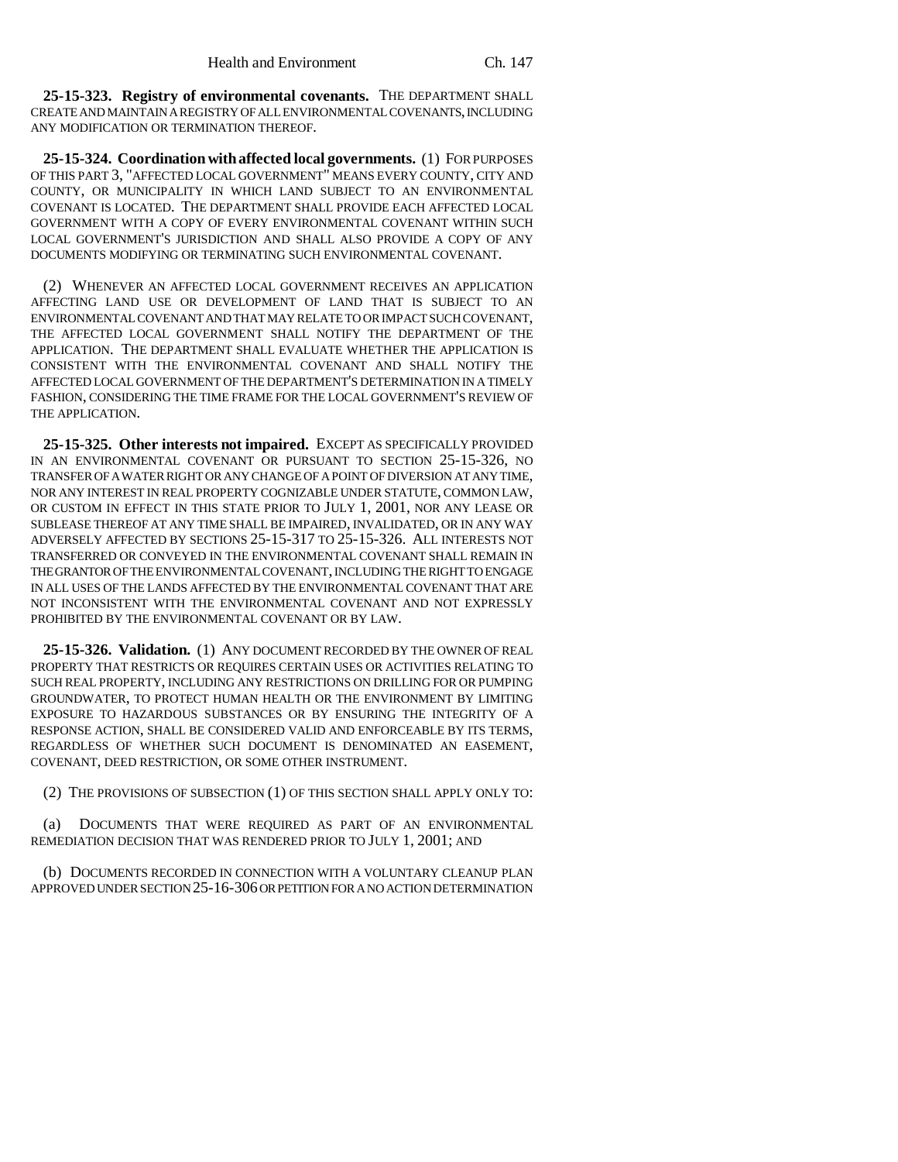**25-15-323. Registry of environmental covenants.** THE DEPARTMENT SHALL CREATE AND MAINTAIN A REGISTRY OF ALL ENVIRONMENTAL COVENANTS, INCLUDING ANY MODIFICATION OR TERMINATION THEREOF.

**25-15-324. Coordination with affected local governments.** (1) FOR PURPOSES OF THIS PART 3, "AFFECTED LOCAL GOVERNMENT" MEANS EVERY COUNTY, CITY AND COUNTY, OR MUNICIPALITY IN WHICH LAND SUBJECT TO AN ENVIRONMENTAL COVENANT IS LOCATED. THE DEPARTMENT SHALL PROVIDE EACH AFFECTED LOCAL GOVERNMENT WITH A COPY OF EVERY ENVIRONMENTAL COVENANT WITHIN SUCH LOCAL GOVERNMENT'S JURISDICTION AND SHALL ALSO PROVIDE A COPY OF ANY DOCUMENTS MODIFYING OR TERMINATING SUCH ENVIRONMENTAL COVENANT.

(2) WHENEVER AN AFFECTED LOCAL GOVERNMENT RECEIVES AN APPLICATION AFFECTING LAND USE OR DEVELOPMENT OF LAND THAT IS SUBJECT TO AN ENVIRONMENTAL COVENANT AND THAT MAY RELATE TO OR IMPACT SUCH COVENANT, THE AFFECTED LOCAL GOVERNMENT SHALL NOTIFY THE DEPARTMENT OF THE APPLICATION. THE DEPARTMENT SHALL EVALUATE WHETHER THE APPLICATION IS CONSISTENT WITH THE ENVIRONMENTAL COVENANT AND SHALL NOTIFY THE AFFECTED LOCAL GOVERNMENT OF THE DEPARTMENT'S DETERMINATION IN A TIMELY FASHION, CONSIDERING THE TIME FRAME FOR THE LOCAL GOVERNMENT'S REVIEW OF THE APPLICATION.

**25-15-325. Other interests not impaired.** EXCEPT AS SPECIFICALLY PROVIDED IN AN ENVIRONMENTAL COVENANT OR PURSUANT TO SECTION 25-15-326, NO TRANSFER OF A WATER RIGHT OR ANY CHANGE OF A POINT OF DIVERSION AT ANY TIME, NOR ANY INTEREST IN REAL PROPERTY COGNIZABLE UNDER STATUTE, COMMON LAW, OR CUSTOM IN EFFECT IN THIS STATE PRIOR TO JULY 1, 2001, NOR ANY LEASE OR SUBLEASE THEREOF AT ANY TIME SHALL BE IMPAIRED, INVALIDATED, OR IN ANY WAY ADVERSELY AFFECTED BY SECTIONS 25-15-317 TO 25-15-326. ALL INTERESTS NOT TRANSFERRED OR CONVEYED IN THE ENVIRONMENTAL COVENANT SHALL REMAIN IN THE GRANTOR OF THE ENVIRONMENTAL COVENANT, INCLUDING THE RIGHT TO ENGAGE IN ALL USES OF THE LANDS AFFECTED BY THE ENVIRONMENTAL COVENANT THAT ARE NOT INCONSISTENT WITH THE ENVIRONMENTAL COVENANT AND NOT EXPRESSLY PROHIBITED BY THE ENVIRONMENTAL COVENANT OR BY LAW.

**25-15-326. Validation.** (1) ANY DOCUMENT RECORDED BY THE OWNER OF REAL PROPERTY THAT RESTRICTS OR REQUIRES CERTAIN USES OR ACTIVITIES RELATING TO SUCH REAL PROPERTY, INCLUDING ANY RESTRICTIONS ON DRILLING FOR OR PUMPING GROUNDWATER, TO PROTECT HUMAN HEALTH OR THE ENVIRONMENT BY LIMITING EXPOSURE TO HAZARDOUS SUBSTANCES OR BY ENSURING THE INTEGRITY OF A RESPONSE ACTION, SHALL BE CONSIDERED VALID AND ENFORCEABLE BY ITS TERMS, REGARDLESS OF WHETHER SUCH DOCUMENT IS DENOMINATED AN EASEMENT, COVENANT, DEED RESTRICTION, OR SOME OTHER INSTRUMENT.

(2) THE PROVISIONS OF SUBSECTION (1) OF THIS SECTION SHALL APPLY ONLY TO:

DOCUMENTS THAT WERE REQUIRED AS PART OF AN ENVIRONMENTAL REMEDIATION DECISION THAT WAS RENDERED PRIOR TO JULY 1, 2001; AND

(b) DOCUMENTS RECORDED IN CONNECTION WITH A VOLUNTARY CLEANUP PLAN APPROVED UNDER SECTION 25-16-306 OR PETITION FOR A NO ACTION DETERMINATION